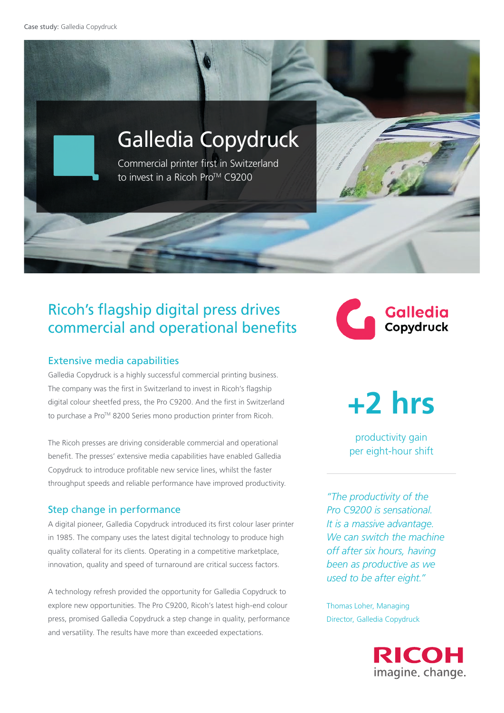Case study: Galledia Copydruck



# Ricoh's flagship digital press drives commercial and operational benefits

### Extensive media capabilities

Galledia Copydruck is a highly successful commercial printing business. The company was the first in Switzerland to invest in Ricoh's flagship digital colour sheetfed press, the Pro C9200. And the first in Switzerland to purchase a Pro™ 8200 Series mono production printer from Ricoh.

The Ricoh presses are driving considerable commercial and operational benefit. The presses' extensive media capabilities have enabled Galledia Copydruck to introduce profitable new service lines, whilst the faster throughput speeds and reliable performance have improved productivity.

### Step change in performance

A digital pioneer, Galledia Copydruck introduced its first colour laser printer in 1985. The company uses the latest digital technology to produce high quality collateral for its clients. Operating in a competitive marketplace, innovation, quality and speed of turnaround are critical success factors.

A technology refresh provided the opportunity for Galledia Copydruck to explore new opportunities. The Pro C9200, Ricoh's latest high-end colour press, promised Galledia Copydruck a step change in quality, performance and versatility. The results have more than exceeded expectations.

**Galledia CONTROL** Copydruck

**+2 hrs**

productivity gain per eight-hour shift

*"The productivity of the Pro C9200 is sensational. It is a massive advantage. We can switch the machine off after six hours, having been as productive as we used to be after eight."* 

Thomas Loher, Managing Director, Galledia Copydruck